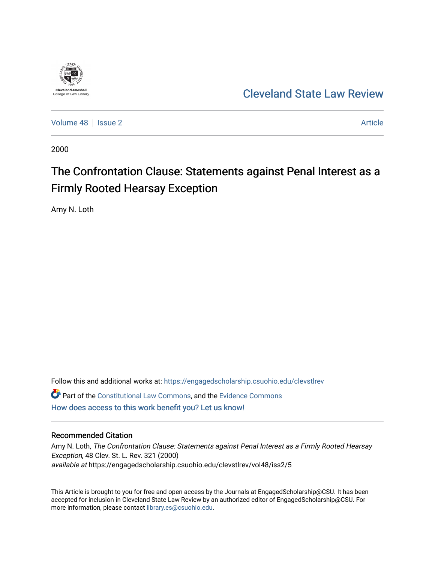

[Cleveland State Law Review](https://engagedscholarship.csuohio.edu/clevstlrev) 

[Volume 48](https://engagedscholarship.csuohio.edu/clevstlrev/vol48) | [Issue 2](https://engagedscholarship.csuohio.edu/clevstlrev/vol48/iss2) Article

2000

# The Confrontation Clause: Statements against Penal Interest as a Firmly Rooted Hearsay Exception

Amy N. Loth

Follow this and additional works at: [https://engagedscholarship.csuohio.edu/clevstlrev](https://engagedscholarship.csuohio.edu/clevstlrev?utm_source=engagedscholarship.csuohio.edu%2Fclevstlrev%2Fvol48%2Fiss2%2F5&utm_medium=PDF&utm_campaign=PDFCoverPages) **C** Part of the [Constitutional Law Commons,](http://network.bepress.com/hgg/discipline/589?utm_source=engagedscholarship.csuohio.edu%2Fclevstlrev%2Fvol48%2Fiss2%2F5&utm_medium=PDF&utm_campaign=PDFCoverPages) and the [Evidence Commons](http://network.bepress.com/hgg/discipline/601?utm_source=engagedscholarship.csuohio.edu%2Fclevstlrev%2Fvol48%2Fiss2%2F5&utm_medium=PDF&utm_campaign=PDFCoverPages) [How does access to this work benefit you? Let us know!](http://library.csuohio.edu/engaged/)

### Recommended Citation

Amy N. Loth, The Confrontation Clause: Statements against Penal Interest as a Firmly Rooted Hearsay Exception, 48 Clev. St. L. Rev. 321 (2000) available at https://engagedscholarship.csuohio.edu/clevstlrev/vol48/iss2/5

This Article is brought to you for free and open access by the Journals at EngagedScholarship@CSU. It has been accepted for inclusion in Cleveland State Law Review by an authorized editor of EngagedScholarship@CSU. For more information, please contact [library.es@csuohio.edu](mailto:library.es@csuohio.edu).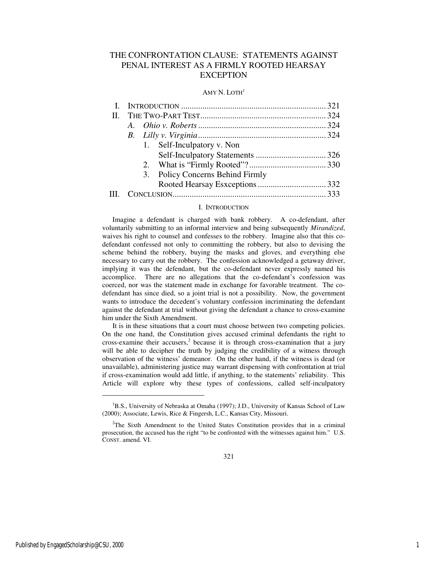## THE CONFRONTATION CLAUSE: STATEMENTS AGAINST PENAL INTEREST AS A FIRMLY ROOTED HEARSAY **EXCEPTION**

#### AMY N. LOTH $<sup>1</sup>$ </sup>

| 1. Self-Inculpatory v. Non       |  |
|----------------------------------|--|
|                                  |  |
|                                  |  |
| 3. Policy Concerns Behind Firmly |  |
|                                  |  |
|                                  |  |
|                                  |  |

#### I. INTRODUCTION

Imagine a defendant is charged with bank robbery. A co-defendant, after voluntarily submitting to an informal interview and being subsequently *Mirandized*, waives his right to counsel and confesses to the robbery. Imagine also that this codefendant confessed not only to committing the robbery, but also to devising the scheme behind the robbery, buying the masks and gloves, and everything else necessary to carry out the robbery. The confession acknowledged a getaway driver, implying it was the defendant, but the co-defendant never expressly named his accomplice. There are no allegations that the co-defendant's confession was coerced, nor was the statement made in exchange for favorable treatment. The codefendant has since died, so a joint trial is not a possibility. Now, the government wants to introduce the decedent's voluntary confession incriminating the defendant against the defendant at trial without giving the defendant a chance to cross-examine him under the Sixth Amendment.

It is in these situations that a court must choose between two competing policies. On the one hand, the Constitution gives accused criminal defendants the right to cross-examine their accusers, $2$  because it is through cross-examination that a jury will be able to decipher the truth by judging the credibility of a witness through observation of the witness' demeanor. On the other hand, if the witness is dead (or unavailable), administering justice may warrant dispensing with confrontation at trial if cross-examination would add little, if anything, to the statements' reliability. This Article will explore why these types of confessions, called self-inculpatory

j

<sup>&</sup>lt;sup>1</sup>B.S., University of Nebraska at Omaha (1997); J.D., University of Kansas School of Law (2000); Associate, Lewis, Rice & Fingersh, L.C., Kansas City, Missouri.

<sup>&</sup>lt;sup>2</sup>The Sixth Amendment to the United States Constitution provides that in a criminal prosecution, the accused has the right "to be confronted with the witnesses against him." U.S. CONST. amend. VI.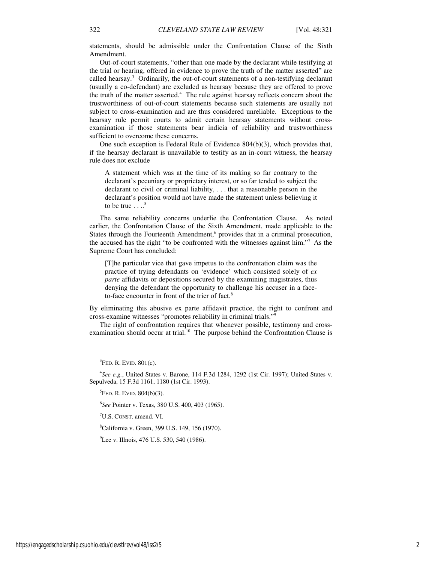statements, should be admissible under the Confrontation Clause of the Sixth Amendment.

Out-of-court statements, "other than one made by the declarant while testifying at the trial or hearing, offered in evidence to prove the truth of the matter asserted" are called hearsay. $3$  Ordinarily, the out-of-court statements of a non-testifying declarant (usually a co-defendant) are excluded as hearsay because they are offered to prove the truth of the matter asserted.<sup>4</sup> The rule against hearsay reflects concern about the trustworthiness of out-of-court statements because such statements are usually not subject to cross-examination and are thus considered unreliable. Exceptions to the hearsay rule permit courts to admit certain hearsay statements without crossexamination if those statements bear indicia of reliability and trustworthiness sufficient to overcome these concerns.

One such exception is Federal Rule of Evidence 804(b)(3), which provides that, if the hearsay declarant is unavailable to testify as an in-court witness, the hearsay rule does not exclude

A statement which was at the time of its making so far contrary to the declarant's pecuniary or proprietary interest, or so far tended to subject the declarant to civil or criminal liability, . . . that a reasonable person in the declarant's position would not have made the statement unless believing it to be true  $\ldots$ <sup>5</sup>

The same reliability concerns underlie the Confrontation Clause. As noted earlier, the Confrontation Clause of the Sixth Amendment, made applicable to the States through the Fourteenth Amendment,<sup>6</sup> provides that in a criminal prosecution, the accused has the right "to be confronted with the witnesses against him."<sup>7</sup> As the Supreme Court has concluded:

[T]he particular vice that gave impetus to the confrontation claim was the practice of trying defendants on 'evidence' which consisted solely of *ex parte* affidavits or depositions secured by the examining magistrates, thus denying the defendant the opportunity to challenge his accuser in a faceto-face encounter in front of the trier of fact.<sup>8</sup>

By eliminating this abusive ex parte affidavit practice, the right to confront and cross-examine witnesses "promotes reliability in criminal trials."<sup>9</sup>

The right of confrontation requires that whenever possible, testimony and crossexamination should occur at trial.<sup>10</sup> The purpose behind the Confrontation Clause is

j

4 *See e.g.*, United States v. Barone, 114 F.3d 1284, 1292 (1st Cir. 1997); United States v. Sepulveda, 15 F.3d 1161, 1180 (1st Cir. 1993).

 ${}^{5}$ FED. R. EVID. 804(b)(3).

6 *See* Pointer v. Texas, 380 U.S. 400, 403 (1965).

 $7U.S.$  CONST. amend. VI.

<sup>8</sup>California v. Green, 399 U.S. 149, 156 (1970).

 $^{9}$ Lee v. Illnois, 476 U.S. 530, 540 (1986).

 ${}^{3}$ Fed. R. Evid. 801(c).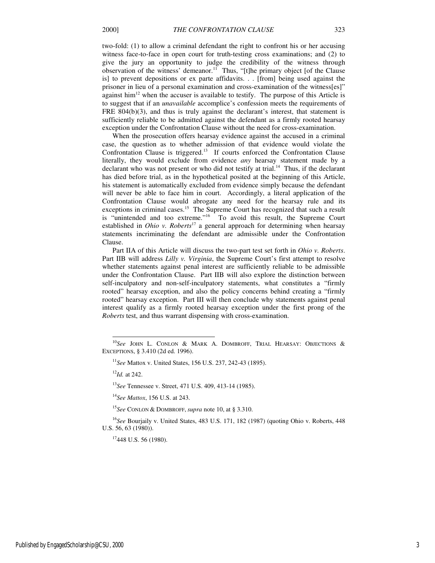two-fold: (1) to allow a criminal defendant the right to confront his or her accusing witness face-to-face in open court for truth-testing cross examinations; and (2) to give the jury an opportunity to judge the credibility of the witness through observation of the witness' demeanor.<sup>11</sup> Thus, "[t]he primary object [of the Clause is] to prevent depositions or ex parte affidavits. . . [from] being used against the prisoner in lieu of a personal examination and cross-examination of the witness[es]" against him<sup>12</sup> when the accuser is available to testify. The purpose of this Article is to suggest that if an *unavailable* accomplice's confession meets the requirements of FRE 804(b)(3), and thus is truly against the declarant's interest, that statement is sufficiently reliable to be admitted against the defendant as a firmly rooted hearsay exception under the Confrontation Clause without the need for cross-examination.

When the prosecution offers hearsay evidence against the accused in a criminal case, the question as to whether admission of that evidence would violate the Confrontation Clause is triggered.<sup>13</sup> If courts enforced the Confrontation Clause literally, they would exclude from evidence *any* hearsay statement made by a declarant who was not present or who did not testify at trial.<sup>14</sup> Thus, if the declarant has died before trial, as in the hypothetical posited at the beginning of this Article, his statement is automatically excluded from evidence simply because the defendant will never be able to face him in court. Accordingly, a literal application of the Confrontation Clause would abrogate any need for the hearsay rule and its exceptions in criminal cases.<sup>15</sup> The Supreme Court has recognized that such a result is "unintended and too extreme."<sup>16</sup> To avoid this result, the Supreme Court established in *Ohio v. Roberts*<sup>17</sup> a general approach for determining when hearsay statements incriminating the defendant are admissible under the Confrontation Clause.

Part IIA of this Article will discuss the two-part test set forth in *Ohio v. Roberts*. Part IIB will address *Lilly v. Virginia*, the Supreme Court's first attempt to resolve whether statements against penal interest are sufficiently reliable to be admissible under the Confrontation Clause. Part IIB will also explore the distinction between self-inculpatory and non-self-inculpatory statements, what constitutes a "firmly rooted" hearsay exception, and also the policy concerns behind creating a "firmly rooted" hearsay exception. Part III will then conclude why statements against penal interest qualify as a firmly rooted hearsay exception under the first prong of the *Roberts* test, and thus warrant dispensing with cross-examination.

<sup>12</sup>*Id.* at 242.

j

<sup>13</sup>*See* Tennessee v. Street, 471 U.S. 409, 413-14 (1985).

<sup>14</sup>*See Mattox*, 156 U.S. at 243.

<sup>15</sup>*See* CONLON & DOMBROFF, *supra* note 10, at § 3.310.

<sup>16</sup>*See* Bourjaily v. United States, 483 U.S. 171, 182 (1987) (quoting Ohio v. Roberts, 448 U.S. 56, 63 (1980)).

<sup>17</sup>448 U.S. 56 (1980).

<sup>&</sup>lt;sup>10</sup>See JOHN L. CONLON & MARK A. DOMBROFF, TRIAL HEARSAY: OBJECTIONS & EXCEPTIONS, § 3.410 (2d ed. 1996).

<sup>11</sup>*See* Mattox v. United States, 156 U.S. 237, 242-43 (1895).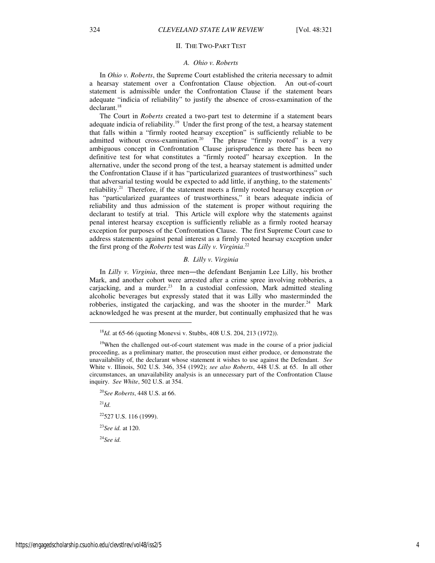#### II. THE TWO-PART TEST

#### *A. Ohio v. Roberts*

In *Ohio v. Roberts*, the Supreme Court established the criteria necessary to admit a hearsay statement over a Confrontation Clause objection. An out-of-court statement is admissible under the Confrontation Clause if the statement bears adequate "indicia of reliability" to justify the absence of cross-examination of the declarant.<sup>18</sup>

The Court in *Roberts* created a two-part test to determine if a statement bears adequate indicia of reliability.<sup>19</sup> Under the first prong of the test, a hearsay statement that falls within a "firmly rooted hearsay exception" is sufficiently reliable to be admitted without cross-examination.<sup>20</sup> The phrase "firmly rooted" is a very ambiguous concept in Confrontation Clause jurisprudence as there has been no definitive test for what constitutes a "firmly rooted" hearsay exception. In the alternative, under the second prong of the test, a hearsay statement is admitted under the Confrontation Clause if it has "particularized guarantees of trustworthiness" such that adversarial testing would be expected to add little, if anything, to the statements' reliability.<sup>21</sup> Therefore, if the statement meets a firmly rooted hearsay exception  $\sigma r$ has "particularized guarantees of trustworthiness," it bears adequate indicia of reliability and thus admission of the statement is proper without requiring the declarant to testify at trial. This Article will explore why the statements against penal interest hearsay exception is sufficiently reliable as a firmly rooted hearsay exception for purposes of the Confrontation Clause. The first Supreme Court case to address statements against penal interest as a firmly rooted hearsay exception under the first prong of the *Roberts* test was *Lilly v. Virginia*. 22

#### *B. Lilly v. Virginia*

In *Lilly v. Virginia*, three men—the defendant Benjamin Lee Lilly, his brother Mark, and another cohort were arrested after a crime spree involving robberies, a carjacking, and a murder. $23$  In a custodial confession, Mark admitted stealing alcoholic beverages but expressly stated that it was Lilly who masterminded the robberies, instigated the carjacking, and was the shooter in the murder.<sup>24</sup> Mark acknowledged he was present at the murder, but continually emphasized that he was

<sup>21</sup>*Id.*

 $\overline{a}$ 

 $22$ 527 U.S. 116 (1999).

<sup>23</sup>*See id.* at 120.

<sup>24</sup>*See id.*

<sup>18</sup>*Id.* at 65-66 (quoting Monevsi v. Stubbs, 408 U.S. 204, 213 (1972)).

<sup>&</sup>lt;sup>19</sup>When the challenged out-of-court statement was made in the course of a prior judicial proceeding, as a preliminary matter, the prosecution must either produce, or demonstrate the unavailability of, the declarant whose statement it wishes to use against the Defendant. *See* White v. Illinois, 502 U.S. 346, 354 (1992); *see also Roberts*, 448 U.S. at 65. In all other circumstances, an unavailability analysis is an unnecessary part of the Confrontation Clause inquiry. *See White*, 502 U.S. at 354.

<sup>20</sup>*See Roberts*, 448 U.S. at 66.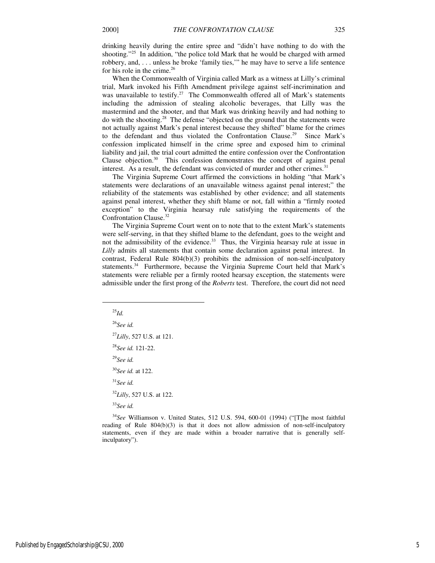drinking heavily during the entire spree and "didn't have nothing to do with the shooting."<sup>25</sup> In addition, "the police told Mark that he would be charged with armed robbery, and, . . . unless he broke 'family ties,'" he may have to serve a life sentence for his role in the crime.<sup>26</sup>

When the Commonwealth of Virginia called Mark as a witness at Lilly's criminal trial, Mark invoked his Fifth Amendment privilege against self-incrimination and was unavailable to testify.<sup>27</sup> The Commonwealth offered all of Mark's statements including the admission of stealing alcoholic beverages, that Lilly was the mastermind and the shooter, and that Mark was drinking heavily and had nothing to do with the shooting.<sup>28</sup> The defense "objected on the ground that the statements were not actually against Mark's penal interest because they shifted" blame for the crimes to the defendant and thus violated the Confrontation Clause.<sup>29</sup> Since Mark's confession implicated himself in the crime spree and exposed him to criminal liability and jail, the trial court admitted the entire confession over the Confrontation Clause objection. $30$  This confession demonstrates the concept of against penal interest. As a result, the defendant was convicted of murder and other crimes.<sup>31</sup>

The Virginia Supreme Court affirmed the convictions in holding "that Mark's statements were declarations of an unavailable witness against penal interest;" the reliability of the statements was established by other evidence; and all statements against penal interest, whether they shift blame or not, fall within a "firmly rooted exception" to the Virginia hearsay rule satisfying the requirements of the Confrontation Clause.<sup>32</sup>

The Virginia Supreme Court went on to note that to the extent Mark's statements were self-serving, in that they shifted blame to the defendant, goes to the weight and not the admissibility of the evidence.<sup>33</sup> Thus, the Virginia hearsay rule at issue in *Lilly* admits all statements that contain some declaration against penal interest. In contrast, Federal Rule 804(b)(3) prohibits the admission of non-self-inculpatory statements.<sup>34</sup> Furthermore, because the Virginia Supreme Court held that Mark's statements were reliable per a firmly rooted hearsay exception, the statements were admissible under the first prong of the *Roberts* test. Therefore, the court did not need

<sup>25</sup>*Id.*

j

<sup>26</sup>*See id.*

<sup>27</sup>*Lilly*, 527 U.S. at 121.

<sup>28</sup>*See id.* 121-22.

<sup>29</sup>*See id.*

<sup>30</sup>*See id.* at 122.

<sup>31</sup>*See id.* 

<sup>32</sup>*Lilly*, 527 U.S. at 122.

<sup>33</sup>*See id.*

<sup>34</sup>*See* Williamson v. United States, 512 U.S. 594, 600-01 (1994) ("[T]he most faithful reading of Rule 804(b)(3) is that it does not allow admission of non-self-inculpatory statements, even if they are made within a broader narrative that is generally selfinculpatory").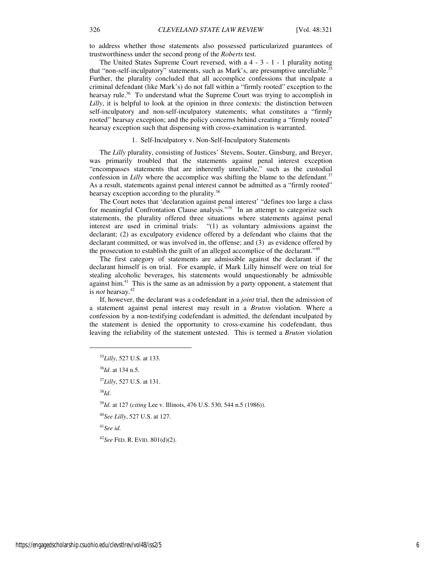to address whether those statements also possessed particularized guarantees of trustworthiness under the second prong of the *Roberts* test.

The United States Supreme Court reversed, with a 4 - 3 - 1 - 1 plurality noting that "non-self-inculpatory" statements, such as Mark's, are presumptive unreliable.<sup>35</sup> Further, the plurality concluded that all accomplice confessions that inculpate a criminal defendant (like Mark's) do not fall within a "firmly rooted" exception to the hearsay rule.<sup>36</sup> To understand what the Supreme Court was trying to accomplish in *Lilly*, it is helpful to look at the opinion in three contexts: the distinction between self-inculpatory and non-self-inculpatory statements; what constitutes a "firmly rooted" hearsay exception; and the policy concerns behind creating a "firmly rooted" hearsay exception such that dispensing with cross-examination is warranted.

#### 1. Self-Inculpatory v. Non-Self-Inculpatory Statements

The *Lilly* plurality, consisting of Justices' Stevens, Souter, Ginsburg, and Breyer, was primarily troubled that the statements against penal interest exception "encompasses statements that are inherently unreliable," such as the custodial confession in *Lilly* where the accomplice was shifting the blame to the defendant.<sup>37</sup> As a result, statements against penal interest cannot be admitted as a "firmly rooted" hearsay exception according to the plurality.<sup>38</sup>

The Court notes that 'declaration against penal interest' "defines too large a class for meaningful Confrontation Clause analysis."<sup>39</sup> In an attempt to categorize such statements, the plurality offered three situations where statements against penal interest are used in criminal trials: "(1) as voluntary admissions against the declarant; (2) as exculpatory evidence offered by a defendant who claims that the declarant committed, or was involved in, the offense; and (3) as evidence offered by the prosecution to establish the guilt of an alleged accomplice of the declarant."<sup>40</sup>

The first category of statements are admissible against the declarant if the declarant himself is on trial. For example, if Mark Lilly himself were on trial for stealing alcoholic beverages, his statements would unquestionably be admissible against him. $4<sup>1</sup>$  This is the same as an admission by a party opponent, a statement that is *not* hearsay.<sup>42</sup>

If, however, the declarant was a codefendant in a *joint* trial, then the admission of a statement against penal interest may result in a *Bruton* violation. Where a confession by a non-testifying codefendant is admitted, the defendant inculpated by the statement is denied the opportunity to cross-examine his codefendant, thus leaving the reliability of the statement untested. This is termed a *Bruton* violation

<sup>36</sup>*Id*. at 134 n.5.

<sup>37</sup>*Lilly*, 527 U.S. at 131.

<sup>38</sup>*Id*.

1

<sup>39</sup>*Id.* at 127 (*citing* Lee v. Illinois, 476 U.S. 530, 544 n.5 (1986)).

<sup>40</sup>*See Lilly*, 527 U.S. at 127.

<sup>41</sup>*See id.*

<sup>42</sup>*See* FED. R. EVID. 801(d)(2).

<sup>35</sup>*Lilly*, 527 U.S. at 133.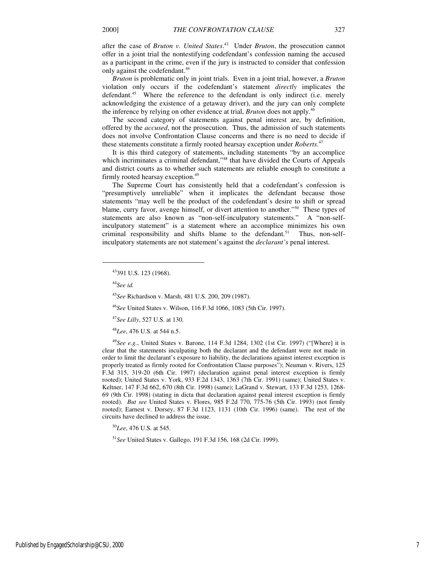after the case of *Bruton v. United States*. <sup>43</sup> Under *Bruton*, the prosecution cannot offer in a joint trial the nontestifying codefendant's confession naming the accused as a participant in the crime, even if the jury is instructed to consider that confession only against the codefendant.<sup>44</sup>

*Bruton* is problematic only in joint trials. Even in a joint trial, however, a *Bruton* violation only occurs if the codefendant's statement *directly* implicates the defendant.<sup>45</sup> Where the reference to the defendant is only indirect (i.e. merely acknowledging the existence of a getaway driver), and the jury can only complete the inference by relying on other evidence at trial, *Bruton* does not apply.<sup>46</sup>

The second category of statements against penal interest are, by definition, offered by the *accused*, not the prosecution. Thus, the admission of such statements does not involve Confrontation Clause concerns and there is no need to decide if these statements constitute a firmly rooted hearsay exception under *Roberts*. 47

It is this third category of statements, including statements "by an accomplice which incriminates a criminal defendant,"<sup>48</sup> that have divided the Courts of Appeals and district courts as to whether such statements are reliable enough to constitute a firmly rooted hearsay exception.<sup>49</sup>

The Supreme Court has consistently held that a codefendant's confession is "presumptively unreliable" when it implicates the defendant because those statements "may well be the product of the codefendant's desire to shift or spread blame, curry favor, avenge himself, or divert attention to another."<sup>50</sup> These types of statements are also known as "non-self-inculpatory statements." A "non-selfinculpatory statement" is a statement where an accomplice minimizes his own criminal responsibility and shifts blame to the defendant.<sup>51</sup> Thus, non-selfinculpatory statements are not statement's against the *declarant's* penal interest.

j

<sup>46</sup>*See* United States v. Wilson, 116 F.3d 1066, 1083 (5th Cir. 1997).

<sup>47</sup>*See Lilly*, 527 U.S. at 130.

<sup>48</sup>*Lee*, 476 U.S. at 544 n.5.

<sup>49</sup>*See e.g.*, United States v. Barone, 114 F.3d 1284, 1302 (1st Cir. 1997) ("[Where] it is clear that the statements inculpating both the declarant and the defendant were not made in order to limit the declarant's exposure to liability, the declarations against interest exception is properly treated as firmly rooted for Confrontation Clause purposes"); Neuman v. Rivers, 125 F.3d 315, 319-20 (6th Cir. 1997) (declaration against penal interest exception is firmly rooted); United States v. York, 933 F.2d 1343, 1363 (7th Cir. 1991) (same); United States v. Keltner, 147 F.3d 662, 670 (8th Cir. 1998) (same); LaGrand v. Stewart, 133 F.3d 1253, 1268- 69 (9th Cir. 1998) (stating in dicta that declaration against penal interest exception is firmly rooted). *But see* United States v. Flores, 985 F.2d 770, 775-76 (5th Cir. 1993) (not firmly rooted); Earnest v. Dorsey, 87 F.3d 1123, 1131 (10th Cir. 1996) (same). The rest of the circuits have declined to address the issue.

<sup>50</sup>*Lee*, 476 U.S. at 545.

<sup>51</sup>*See* United States v. Gallego, 191 F.3d 156, 168 (2d Cir. 1999).

<sup>43</sup>391 U.S. 123 (1968).

<sup>44</sup>*See id.*

<sup>45</sup>*See* Richardson v. Marsh, 481 U.S. 200, 209 (1987).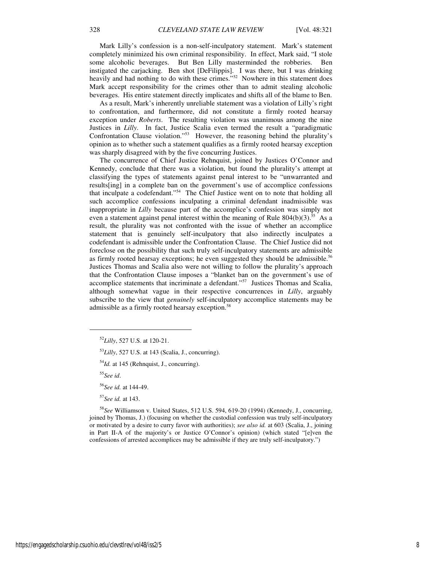Mark Lilly's confession is a non-self-inculpatory statement. Mark's statement completely minimized his own criminal responsibility. In effect, Mark said, "I stole some alcoholic beverages. But Ben Lilly masterminded the robberies. Ben instigated the carjacking. Ben shot [DeFilippis]. I was there, but I was drinking heavily and had nothing to do with these crimes."<sup>52</sup> Nowhere in this statement does Mark accept responsibility for the crimes other than to admit stealing alcoholic beverages. His entire statement directly implicates and shifts all of the blame to Ben.

As a result, Mark's inherently unreliable statement was a violation of Lilly's right to confrontation, and furthermore, did not constitute a firmly rooted hearsay exception under *Roberts*. The resulting violation was unanimous among the nine Justices in *Lilly*. In fact, Justice Scalia even termed the result a "paradigmatic Confrontation Clause violation."<sup>53</sup> However, the reasoning behind the plurality's opinion as to whether such a statement qualifies as a firmly rooted hearsay exception was sharply disagreed with by the five concurring Justices.

The concurrence of Chief Justice Rehnquist, joined by Justices O'Connor and Kennedy, conclude that there was a violation, but found the plurality's attempt at classifying the types of statements against penal interest to be "unwarranted and results[ing] in a complete ban on the government's use of accomplice confessions that inculpate a codefendant."<sup>54</sup> The Chief Justice went on to note that holding all such accomplice confessions inculpating a criminal defendant inadmissible was inappropriate in *Lilly* because part of the accomplice's confession was simply not even a statement against penal interest within the meaning of Rule  $804(b)(3)$ .<sup>55</sup> As a result, the plurality was not confronted with the issue of whether an accomplice statement that is genuinely self-inculpatory that also indirectly inculpates a codefendant is admissible under the Confrontation Clause. The Chief Justice did not foreclose on the possibility that such truly self-inculpatory statements are admissible as firmly rooted hearsay exceptions; he even suggested they should be admissible.<sup>56</sup> Justices Thomas and Scalia also were not willing to follow the plurality's approach that the Confrontation Clause imposes a "blanket ban on the government's use of accomplice statements that incriminate a defendant."<sup>57</sup> Justices Thomas and Scalia, although somewhat vague in their respective concurrences in *Lilly*, arguably subscribe to the view that *genuinely* self-inculpatory accomplice statements may be admissible as a firmly rooted hearsay exception.<sup>58</sup>

<sup>55</sup>*See id*.

1

<sup>56</sup>*See id.* at 144-49.

<sup>57</sup>*See id.* at 143.

<sup>58</sup>*See* Williamson v. United States, 512 U.S. 594, 619-20 (1994) (Kennedy, J., concurring, joined by Thomas, J.) (focusing on whether the custodial confession was truly self-inculpatory or motivated by a desire to curry favor with authorities); *see also id.* at 603 (Scalia, J., joining in Part II-A of the majority's or Justice O'Connor's opinion) (which stated "[e]ven the confessions of arrested accomplices may be admissible if they are truly self-inculpatory.")

<sup>52</sup>*Lilly*, 527 U.S. at 120-21.

<sup>53</sup>*Lilly*, 527 U.S. at 143 (Scalia, J., concurring).

<sup>54</sup>*Id.* at 145 (Rehnquist, J., concurring).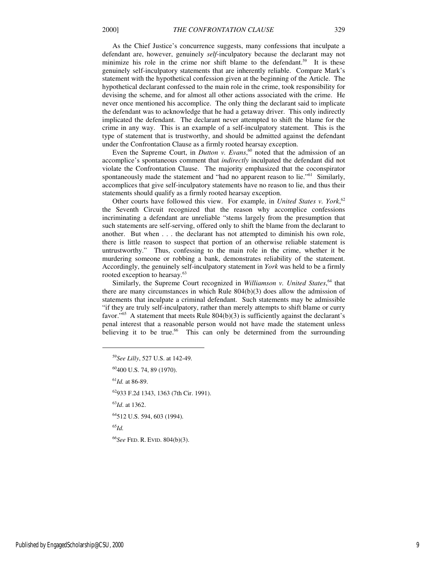As the Chief Justice's concurrence suggests, many confessions that inculpate a defendant are, however, genuinely *self*-inculpatory because the declarant may not minimize his role in the crime nor shift blame to the defendant.<sup>59</sup> It is these genuinely self-inculpatory statements that are inherently reliable. Compare Mark's statement with the hypothetical confession given at the beginning of the Article. The hypothetical declarant confessed to the main role in the crime, took responsibility for devising the scheme, and for almost all other actions associated with the crime. He

never once mentioned his accomplice. The only thing the declarant said to implicate the defendant was to acknowledge that he had a getaway driver. This only indirectly implicated the defendant. The declarant never attempted to shift the blame for the crime in any way. This is an example of a self-inculpatory statement. This is the type of statement that is trustworthy, and should be admitted against the defendant under the Confrontation Clause as a firmly rooted hearsay exception.

Even the Supreme Court, in *Dutton v. Evans*, <sup>60</sup> noted that the admission of an accomplice's spontaneous comment that *indirectly* inculpated the defendant did not violate the Confrontation Clause. The majority emphasized that the coconspirator spontaneously made the statement and "had no apparent reason to lie."<sup>61</sup> Similarly, accomplices that give self-inculpatory statements have no reason to lie, and thus their statements should qualify as a firmly rooted hearsay exception.

Other courts have followed this view. For example, in *United States v. York*,<sup>62</sup> the Seventh Circuit recognized that the reason why accomplice confessions incriminating a defendant are unreliable "stems largely from the presumption that such statements are self-serving, offered only to shift the blame from the declarant to another. But when . . . the declarant has not attempted to diminish his own role, there is little reason to suspect that portion of an otherwise reliable statement is untrustworthy." Thus, confessing to the main role in the crime, whether it be murdering someone or robbing a bank, demonstrates reliability of the statement. Accordingly, the genuinely self-inculpatory statement in *York* was held to be a firmly rooted exception to hearsay.<sup>63</sup>

Similarly, the Supreme Court recognized in *Williamson v. United States*, <sup>64</sup> that there are many circumstances in which Rule 804(b)(3) does allow the admission of statements that inculpate a criminal defendant. Such statements may be admissible "if they are truly self-inculpatory, rather than merely attempts to shift blame or curry favor." $65$  A statement that meets Rule 804(b)(3) is sufficiently against the declarant's penal interest that a reasonable person would not have made the statement unless believing it to be true.<sup>66</sup> This can only be determined from the surrounding

<sup>61</sup>*Id.* at 86-89.

<sup>62</sup>933 F.2d 1343, 1363 (7th Cir. 1991).

<sup>63</sup>*Id*. at 1362.

<sup>64</sup>512 U.S. 594, 603 (1994).

<sup>65</sup>*Id.*

j

<sup>66</sup>*See* FED. R. EVID. 804(b)(3).

<sup>59</sup>*See Lilly*, 527 U.S. at 142-49.

<sup>60</sup>400 U.S. 74, 89 (1970).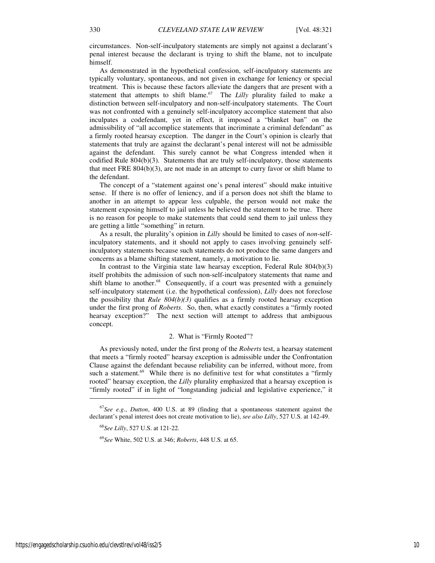circumstances. Non-self-inculpatory statements are simply not against a declarant's penal interest because the declarant is trying to shift the blame, not to inculpate himself.

As demonstrated in the hypothetical confession, self-inculpatory statements are typically voluntary, spontaneous, and not given in exchange for leniency or special treatment. This is because these factors alleviate the dangers that are present with a statement that attempts to shift blame.<sup>67</sup> The *Lilly* plurality failed to make a distinction between self-inculpatory and non-self-inculpatory statements. The Court was not confronted with a genuinely self-inculpatory accomplice statement that also inculpates a codefendant, yet in effect, it imposed a "blanket ban" on the admissibility of "all accomplice statements that incriminate a criminal defendant" as a firmly rooted hearsay exception. The danger in the Court's opinion is clearly that statements that truly are against the declarant's penal interest will not be admissible against the defendant. This surely cannot be what Congress intended when it codified Rule 804(b)(3). Statements that are truly self-inculpatory, those statements that meet FRE  $804(b)(3)$ , are not made in an attempt to curry favor or shift blame to the defendant.

The concept of a "statement against one's penal interest" should make intuitive sense. If there is no offer of leniency, and if a person does not shift the blame to another in an attempt to appear less culpable, the person would not make the statement exposing himself to jail unless he believed the statement to be true. There is no reason for people to make statements that could send them to jail unless they are getting a little "something" in return.

As a result, the plurality's opinion in *Lilly* should be limited to cases of *non*-selfinculpatory statements, and it should not apply to cases involving genuinely selfinculpatory statements because such statements do not produce the same dangers and concerns as a blame shifting statement, namely, a motivation to lie.

In contrast to the Virginia state law hearsay exception, Federal Rule  $804(b)(3)$ itself prohibits the admission of such non-self-inculpatory statements that name and shift blame to another.<sup>68</sup> Consequently, if a court was presented with a genuinely self-inculpatory statement (i.e. the hypothetical confession), *Lilly* does not foreclose the possibility that *Rule 804(b)(3)* qualifies as a firmly rooted hearsay exception under the first prong of *Roberts*. So, then, what exactly constitutes a "firmly rooted hearsay exception?" The next section will attempt to address that ambiguous concept.

#### 2. What is "Firmly Rooted"?

As previously noted, under the first prong of the *Roberts* test, a hearsay statement that meets a "firmly rooted" hearsay exception is admissible under the Confrontation Clause against the defendant because reliability can be inferred, without more, from such a statement.<sup>69</sup> While there is no definitive test for what constitutes a "firmly rooted" hearsay exception, the *Lilly* plurality emphasized that a hearsay exception is "firmly rooted" if in light of "longstanding judicial and legislative experience," it

1

<sup>67</sup>*See e.g*., *Dutton*, 400 U.S. at 89 (finding that a spontaneous statement against the declarant's penal interest does not create motivation to lie), *see also Lilly*, 527 U.S. at 142-49.

<sup>68</sup>*See Lilly*, 527 U.S. at 121-22.

<sup>69</sup>*See* White, 502 U.S. at 346; *Roberts*, 448 U.S. at 65.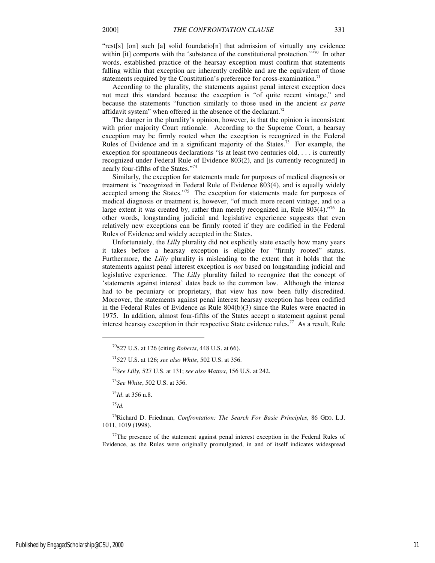"rest[s] [on] such [a] solid foundatio[n] that admission of virtually any evidence within [it] comports with the 'substance of the constitutional protection."<sup>70</sup> In other words, established practice of the hearsay exception must confirm that statements falling within that exception are inherently credible and are the equivalent of those statements required by the Constitution's preference for cross-examination.<sup>71</sup>

According to the plurality, the statements against penal interest exception does not meet this standard because the exception is "of quite recent vintage," and because the statements "function similarly to those used in the ancient *ex parte* affidavit system" when offered in the absence of the declarant.<sup>72</sup>

The danger in the plurality's opinion, however, is that the opinion is inconsistent with prior majority Court rationale. According to the Supreme Court, a hearsay exception may be firmly rooted when the exception is recognized in the Federal Rules of Evidence and in a significant majority of the States.<sup>73</sup> For example, the exception for spontaneous declarations "is at least two centuries old, . . . is currently recognized under Federal Rule of Evidence 803(2), and [is currently recognized] in nearly four-fifths of the States."<sup>74</sup>

Similarly, the exception for statements made for purposes of medical diagnosis or treatment is "recognized in Federal Rule of Evidence 803(4), and is equally widely accepted among the States."<sup>75</sup> The exception for statements made for purposes of medical diagnosis or treatment is, however, "of much more recent vintage, and to a large extent it was created by, rather than merely recognized in, Rule 803(4).<sup>"76</sup> In other words, longstanding judicial and legislative experience suggests that even relatively new exceptions can be firmly rooted if they are codified in the Federal Rules of Evidence and widely accepted in the States.

Unfortunately, the *Lilly* plurality did not explicitly state exactly how many years it takes before a hearsay exception is eligible for "firmly rooted" status. Furthermore, the *Lilly* plurality is misleading to the extent that it holds that the statements against penal interest exception is *not* based on longstanding judicial and legislative experience. The *Lilly* plurality failed to recognize that the concept of 'statements against interest' dates back to the common law. Although the interest had to be pecuniary or proprietary, that view has now been fully discredited. Moreover, the statements against penal interest hearsay exception has been codified in the Federal Rules of Evidence as Rule 804(b)(3) since the Rules were enacted in 1975. In addition, almost four-fifths of the States accept a statement against penal interest hearsay exception in their respective State evidence rules.<sup>77</sup> As a result, Rule

<sup>75</sup>*Id.*

1

<sup>76</sup>Richard D. Friedman, *Confrontation: The Search For Basic Principles*, 86 GEO. L.J. 1011, 1019 (1998).

 $77$ The presence of the statement against penal interest exception in the Federal Rules of Evidence, as the Rules were originally promulgated, in and of itself indicates widespread

<sup>70</sup>527 U.S. at 126 (citing *Roberts*, 448 U.S. at 66).

<sup>71</sup>527 U.S. at 126; *see also White*, 502 U.S. at 356.

<sup>72</sup>*See Lilly*, 527 U.S. at 131; *see also Mattox*, 156 U.S. at 242.

<sup>73</sup>*See White*, 502 U.S. at 356.

<sup>74</sup>*Id*. at 356 n.8.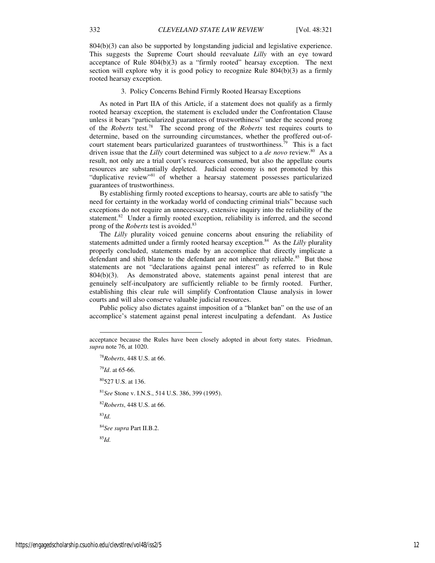804(b)(3) can also be supported by longstanding judicial and legislative experience. This suggests the Supreme Court should reevaluate *Lilly* with an eye toward acceptance of Rule  $804(b)(3)$  as a "firmly rooted" hearsay exception. The next section will explore why it is good policy to recognize Rule 804(b)(3) as a firmly rooted hearsay exception.

#### 3. Policy Concerns Behind Firmly Rooted Hearsay Exceptions

As noted in Part IIA of this Article, if a statement does not qualify as a firmly rooted hearsay exception, the statement is excluded under the Confrontation Clause unless it bears "particularized guarantees of trustworthiness" under the second prong of the *Roberts* test.<sup>78</sup> The second prong of the *Roberts* test requires courts to determine, based on the surrounding circumstances, whether the proffered out-ofcourt statement bears particularized guarantees of trustworthiness.<sup>79</sup> This is a fact driven issue that the *Lilly* court determined was subject to a *de novo* review.<sup>80</sup> As a result, not only are a trial court's resources consumed, but also the appellate courts resources are substantially depleted. Judicial economy is not promoted by this "duplicative review"<sup>81</sup> of whether a hearsay statement possesses particularized guarantees of trustworthiness.

By establishing firmly rooted exceptions to hearsay, courts are able to satisfy "the need for certainty in the workaday world of conducting criminal trials" because such exceptions do not require an unnecessary, extensive inquiry into the reliability of the statement.<sup>82</sup> Under a firmly rooted exception, reliability is inferred, and the second prong of the *Roberts* test is avoided.<sup>83</sup>

The *Lilly* plurality voiced genuine concerns about ensuring the reliability of statements admitted under a firmly rooted hearsay exception.<sup>84</sup> As the *Lilly* plurality properly concluded, statements made by an accomplice that directly implicate a defendant and shift blame to the defendant are not inherently reliable.<sup>85</sup> But those statements are not "declarations against penal interest" as referred to in Rule 804(b)(3). As demonstrated above, statements against penal interest that are genuinely self-inculpatory are sufficiently reliable to be firmly rooted. Further, establishing this clear rule will simplify Confrontation Clause analysis in lower courts and will also conserve valuable judicial resources.

Public policy also dictates against imposition of a "blanket ban" on the use of an accomplice's statement against penal interest inculpating a defendant. As Justice

<sup>79</sup>*Id*. at 65-66.

<sup>80</sup>527 U.S. at 136.

<sup>81</sup>*See* Stone v. I.N.S., 514 U.S. 386, 399 (1995).

<sup>82</sup>*Roberts*, 448 U.S. at 66.

<sup>83</sup>*Id.*

j

<sup>84</sup>*See supra* Part II.B.2.

<sup>85</sup>*Id.*

acceptance because the Rules have been closely adopted in about forty states. Friedman, *supra* note 76, at 1020.

<sup>78</sup>*Roberts*, 448 U.S. at 66.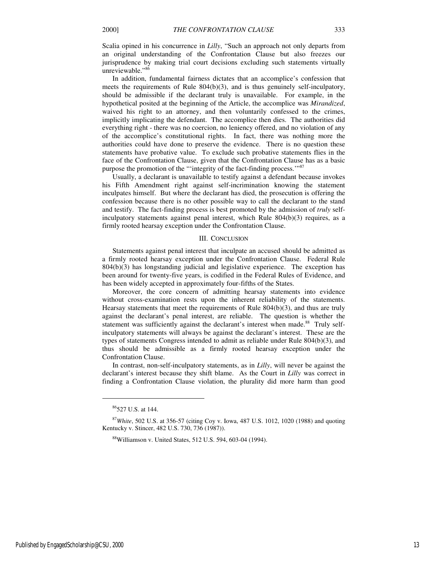Scalia opined in his concurrence in *Lilly*, "Such an approach not only departs from an original understanding of the Confrontation Clause but also freezes our jurisprudence by making trial court decisions excluding such statements virtually unreviewable."86

In addition, fundamental fairness dictates that an accomplice's confession that meets the requirements of Rule 804(b)(3), and is thus genuinely self-inculpatory, should be admissible if the declarant truly is unavailable. For example, in the hypothetical posited at the beginning of the Article, the accomplice was *Mirandized*, waived his right to an attorney, and then voluntarily confessed to the crimes, implicitly implicating the defendant. The accomplice then dies. The authorities did everything right - there was no coercion, no leniency offered, and no violation of any of the accomplice's constitutional rights. In fact, there was nothing more the authorities could have done to preserve the evidence. There is no question these statements have probative value. To exclude such probative statements flies in the face of the Confrontation Clause, given that the Confrontation Clause has as a basic purpose the promotion of the "'integrity of the fact-finding process.'"<sup>87</sup>

Usually, a declarant is unavailable to testify against a defendant because invokes his Fifth Amendment right against self-incrimination knowing the statement inculpates himself. But where the declarant has died, the prosecution is offering the confession because there is no other possible way to call the declarant to the stand and testify. The fact-finding process is best promoted by the admission of *truly* selfinculpatory statements against penal interest, which Rule  $804(b)(3)$  requires, as a firmly rooted hearsay exception under the Confrontation Clause.

#### III. CONCLUSION

Statements against penal interest that inculpate an accused should be admitted as a firmly rooted hearsay exception under the Confrontation Clause. Federal Rule  $804(b)(3)$  has longstanding judicial and legislative experience. The exception has been around for twenty-five years, is codified in the Federal Rules of Evidence, and has been widely accepted in approximately four-fifths of the States.

Moreover, the core concern of admitting hearsay statements into evidence without cross-examination rests upon the inherent reliability of the statements. Hearsay statements that meet the requirements of Rule 804(b)(3), and thus are truly against the declarant's penal interest, are reliable. The question is whether the statement was sufficiently against the declarant's interest when made.<sup>88</sup> Truly selfinculpatory statements will always be against the declarant's interest. These are the types of statements Congress intended to admit as reliable under Rule 804(b)(3), and thus should be admissible as a firmly rooted hearsay exception under the Confrontation Clause.

In contrast, non-self-inculpatory statements, as in *Lilly*, will never be against the declarant's interest because they shift blame. As the Court in *Lilly* was correct in finding a Confrontation Clause violation, the plurality did more harm than good

j

<sup>86</sup>527 U.S. at 144.

<sup>87</sup>*White*, 502 U.S. at 356-57 (citing Coy v. Iowa, 487 U.S. 1012, 1020 (1988) and quoting Kentucky v. Stincer, 482 U.S. 730, 736 (1987)).

<sup>88</sup>Williamson v. United States, 512 U.S. 594, 603-04 (1994).